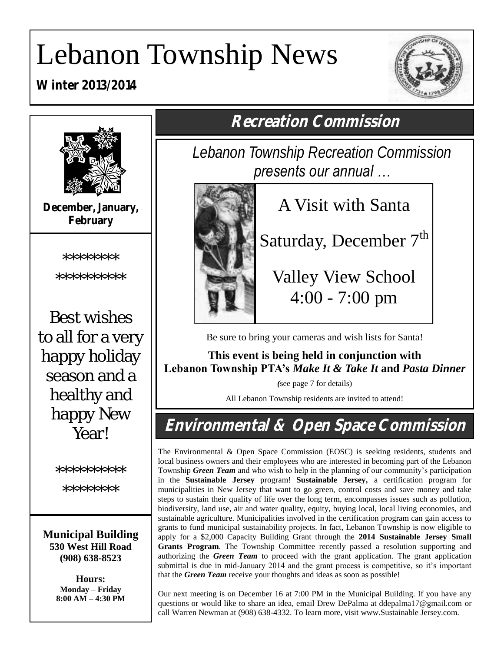# Lebanon Township News

**Winter 2013/2014**





**December, January, February**

\*\*\*\*\*\*\*\*

\*\*\*\*\*\*\*\*\*\*

Best wishes to all for a very happy holiday season and a healthy and happy New **Year!** 

\*\*\*\*\*\*\*\*\*

\*\*\*\*\*\*\*\*

**Municipal Building 530 West Hill Road (908) 638-8523**

> **Hours: Monday – Friday 8:00 AM – 4:30 PM**

**Recreation Commission**

*Lebanon Township Recreation Commission presents our annual …*



A Visit with Santa

Saturday, December  $7<sup>th</sup>$ 

Valley View School 4:00 - 7:00 pm

Be sure to bring your cameras and wish lists for Santa!

**This event is being held in conjunction with Lebanon Township PTA's** *Make It & Take It* **and** *Pasta Dinner*

*(*see page 7 for details)

All Lebanon Township residents are invited to attend!

**Environmental & Open Space Commission**

The Environmental & Open Space Commission (EOSC) is seeking residents, students and local business owners and their employees who are interested in becoming part of the Lebanon Township *Green Team* and who wish to help in the planning of our community's participation in the **Sustainable Jersey** program! **Sustainable Jersey,** a certification program for municipalities in New Jersey that want to go green, control costs and save money and take steps to sustain their quality of life over the long term, encompasses issues such as pollution, biodiversity, land use, air and water quality, equity, buying local, local living economies, and sustainable agriculture. Municipalities involved in the certification program can gain access to grants to fund municipal sustainability projects. In fact, Lebanon Township is now eligible to apply for a \$2,000 Capacity Building Grant through the **2014 Sustainable Jersey Small Grants Program**. The Township Committee recently passed a resolution supporting and authorizing the *Green Team* to proceed with the grant application. The grant application submittal is due in mid-January 2014 and the grant process is competitive, so it's important that the *Green Team* receive your thoughts and ideas as soon as possible!

Our next meeting is on December 16 at 7:00 PM in the Municipal Building. If you have any questions or would like to share an idea, email Drew DePalma at [ddepalma17@gmail.com](mailto:ltenv@lebtwp.net) or call Warren Newman at (908) 638-4332. To learn more, visit www.Sustainable Jersey.com.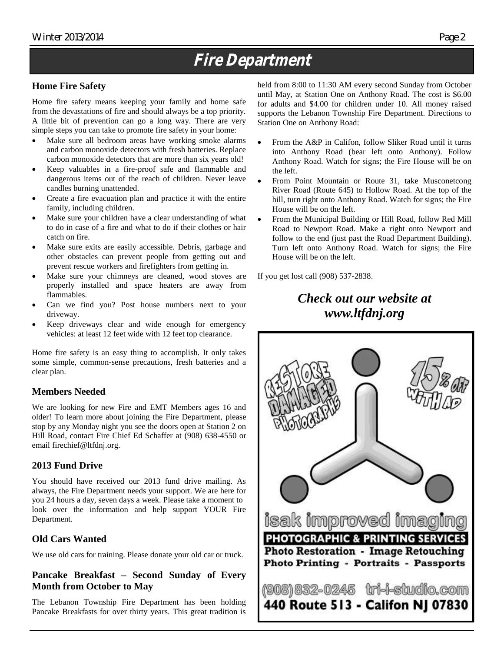## **Fire Department**

#### **Home Fire Safety**

Home fire safety means keeping your family and home safe from the devastations of fire and should always be a top priority. A little bit of prevention can go a long way. There are very simple steps you can take to promote fire safety in your home:

- Make sure all bedroom areas have working smoke alarms and carbon monoxide detectors with fresh batteries. Replace carbon monoxide detectors that are more than six years old!
- Keep valuables in a fire-proof safe and flammable and dangerous items out of the reach of children. Never leave candles burning unattended.
- Create a fire evacuation plan and practice it with the entire family, including children.
- Make sure your children have a clear understanding of what to do in case of a fire and what to do if their clothes or hair catch on fire.
- Make sure exits are easily accessible. Debris, garbage and other obstacles can prevent people from getting out and prevent rescue workers and firefighters from getting in.
- Make sure your chimneys are cleaned, wood stoves are properly installed and space heaters are away from flammables.
- Can we find you? Post house numbers next to your driveway.
- Keep driveways clear and wide enough for emergency vehicles: at least 12 feet wide with 12 feet top clearance.

Home fire safety is an easy thing to accomplish. It only takes some simple, common-sense precautions, fresh batteries and a clear plan.

#### **Members Needed**

We are looking for new Fire and EMT Members ages 16 and older! To learn more about joining the Fire Department, please stop by any Monday night you see the doors open at Station 2 on Hill Road, contact Fire Chief Ed Schaffer at (908) 638-4550 or email firechief@ltfdnj.org.

#### **2013 Fund Drive**

You should have received our 2013 fund drive mailing. As always, the Fire Department needs your support. We are here for you 24 hours a day, seven days a week. Please take a moment to look over the information and help support YOUR Fire Department.

#### **Old Cars Wanted**

We use old cars for training. Please donate your old car or truck.

#### **Pancake Breakfast – Second Sunday of Every Month from October to May**

The Lebanon Township Fire Department has been holding Pancake Breakfasts for over thirty years. This great tradition is held from 8:00 to 11:30 AM every second Sunday from October until May, at Station One on Anthony Road. The cost is \$6.00 for adults and \$4.00 for children under 10. All money raised supports the Lebanon Township Fire Department. Directions to Station One on Anthony Road:

- From the A&P in Califon, follow Sliker Road until it turns into Anthony Road (bear left onto Anthony). Follow Anthony Road. Watch for signs; the Fire House will be on the left.
- From Point Mountain or Route 31, take Musconetcong River Road (Route 645) to Hollow Road. At the top of the hill, turn right onto Anthony Road. Watch for signs; the Fire House will be on the left.
- From the Municipal Building or Hill Road, follow Red Mill Road to Newport Road. Make a right onto Newport and follow to the end (just past the Road Department Building). Turn left onto Anthony Road. Watch for signs; the Fire House will be on the left.

If you get lost call (908) 537-2838.

### *Check out our website at www.ltfdnj.org*

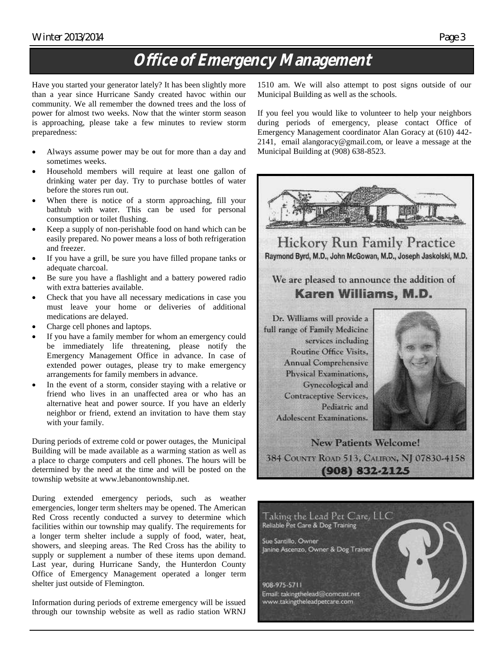#### Winter 2013/2014 Page 3 (Page 3) Page 3 (Page 3) Page 3 (Page 3 (Page 3 (Page 3 (Page 3 (Page 3 (Page 3 (Page 3  $\mu$

## **Office of Emergency Management**

Have you started your generator lately? It has been slightly more than a year since Hurricane Sandy created havoc within our community. We all remember the downed trees and the loss of power for almost two weeks. Now that the winter storm season is approaching, please take a few minutes to review storm preparedness:

- Always assume power may be out for more than a day and sometimes weeks.
- Household members will require at least one gallon of drinking water per day. Try to purchase bottles of water before the stores run out.
- When there is notice of a storm approaching, fill your bathtub with water. This can be used for personal consumption or toilet flushing.
- Keep a supply of non-perishable food on hand which can be easily prepared. No power means a loss of both refrigeration and freezer.
- If you have a grill, be sure you have filled propane tanks or adequate charcoal.
- Be sure you have a flashlight and a battery powered radio with extra batteries available.
- Check that you have all necessary medications in case you must leave your home or deliveries of additional medications are delayed.
- Charge cell phones and laptops.
- If you have a family member for whom an emergency could be immediately life threatening, please notify the Emergency Management Office in advance. In case of extended power outages, please try to make emergency arrangements for family members in advance.
- In the event of a storm, consider staying with a relative or friend who lives in an unaffected area or who has an alternative heat and power source. If you have an elderly neighbor or friend, extend an invitation to have them stay with your family.

During periods of extreme cold or power outages, the Municipal Building will be made available as a warming station as well as a place to charge computers and cell phones. The hours will be determined by the need at the time and will be posted on the township website at www.lebanontownship.net.

During extended emergency periods, such as weather emergencies, longer term shelters may be opened. The American Red Cross recently conducted a survey to determine which facilities within our township may qualify. The requirements for a longer term shelter include a supply of food, water, heat, showers, and sleeping areas. The Red Cross has the ability to supply or supplement a number of these items upon demand. Last year, during Hurricane Sandy, the Hunterdon County Office of Emergency Management operated a longer term shelter just outside of Flemington.

Information during periods of extreme emergency will be issued through our township website as well as radio station WRNJ 1510 am. We will also attempt to post signs outside of our Municipal Building as well as the schools.

If you feel you would like to volunteer to help your neighbors during periods of emergency, please contact Office of Emergency Management coordinator Alan Goracy at (610) 442- 2141, email alangoracy@gmail.com, or leave a message at the Municipal Building at (908) 638-8523.



Sue Santillo, Owner Janine Ascenzo, Owner & Dog Trainer

908-975-5711 Email: takingthelead@comcast.net www.takingtheleadpetcare.com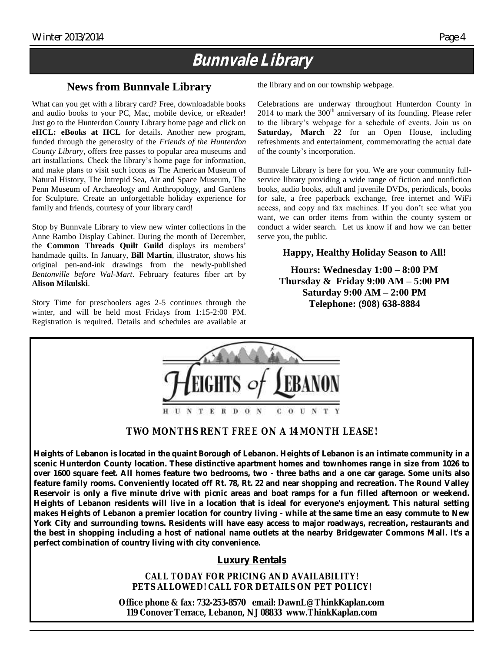### **Bunnvale Library**

#### **News from Bunnvale Library**

What can you get with a library card? Free, downloadable books and audio books to your PC, Mac, mobile device, or eReader! Just go to the Hunterdon County Library home page and click on **eHCL: eBooks at HCL** for details. Another new program, funded through the generosity of the *Friends of the Hunterdon County Library*, offers free passes to popular area museums and art installations. Check the library's home page for information, and make plans to visit such icons as The American Museum of Natural History, The Intrepid Sea, Air and Space Museum, The Penn Museum of Archaeology and Anthropology, and Gardens for Sculpture. Create an unforgettable holiday experience for family and friends, courtesy of your library card!

Stop by Bunnvale Library to view new winter collections in the Anne Rambo Display Cabinet. During the month of December, the **Common Threads Quilt Guild** displays its members' handmade quilts. In January, **Bill Martin**, illustrator, shows his original pen-and-ink drawings from the newly-published *Bentonville before Wal-Mart*. February features fiber art by **Alison Mikulski**.

Story Time for preschoolers ages 2-5 continues through the winter, and will be held most Fridays from 1:15-2:00 PM. Registration is required. Details and schedules are available at the library and on our township webpage.

Celebrations are underway throughout Hunterdon County in  $2014$  to mark the  $300<sup>th</sup>$  anniversary of its founding. Please refer to the library's webpage for a schedule of events. Join us on **Saturday, March 22** for an Open House, including refreshments and entertainment, commemorating the actual date of the county's incorporation.

Bunnvale Library is here for you. We are your community fullservice library providing a wide range of fiction and nonfiction books, audio books, adult and juvenile DVDs, periodicals, books for sale, a free paperback exchange, free internet and WiFi access, and copy and fax machines. If you don't see what you want, we can order items from within the county system or conduct a wider search. Let us know if and how we can better serve you, the public.

#### **Happy, Healthy Holiday Season to All!**

**Hours: Wednesday 1:00 – 8:00 PM Thursday & Friday 9:00 AM – 5:00 PM Saturday 9:00 AM – 2:00 PM Telephone: (908) 638-8884**

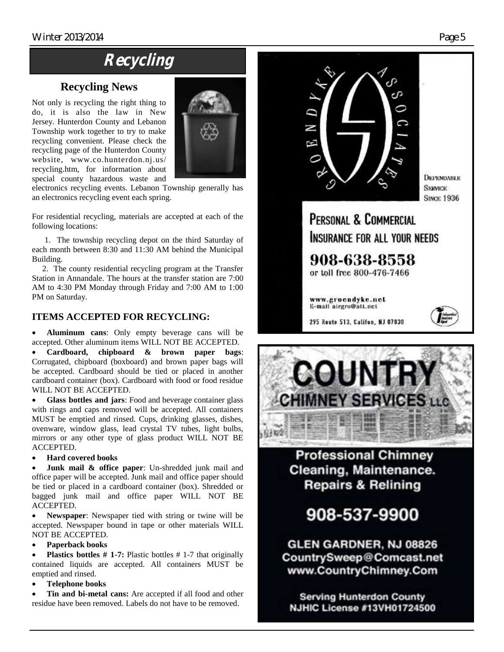### **Recycling**

### **Recycling News**

Not only is recycling the right thing to do, it is also the law in New Jersey. Hunterdon County and Lebanon Township work together to try to make recycling convenient. Please check the recycling page of the Hunterdon County website, www.co.hunterdon.nj.us/ recycling.htm, for information about special county hazardous waste and



electronics recycling events. Lebanon Township generally has an electronics recycling event each spring.

For residential recycling, materials are accepted at each of the following locations:

 1. The township recycling depot on the third Saturday of each month between 8:30 and 11:30 AM behind the Municipal Building.

 2. The county residential recycling program at the Transfer Station in Annandale. The hours at the transfer station are 7:00 AM to 4:30 PM Monday through Friday and 7:00 AM to 1:00 PM on Saturday.

#### **ITEMS ACCEPTED FOR RECYCLING:**

 **Aluminum cans**: Only empty beverage cans will be accepted. Other aluminum items WILL NOT BE ACCEPTED.

 **Cardboard, chipboard & brown paper bags**: Corrugated, chipboard (boxboard) and brown paper bags will be accepted. Cardboard should be tied or placed in another cardboard container (box). Cardboard with food or food residue WILL NOT BE ACCEPTED.

 **Glass bottles and jars**: Food and beverage container glass with rings and caps removed will be accepted. All containers MUST be emptied and rinsed. Cups, drinking glasses, dishes, ovenware, window glass, lead crystal TV tubes, light bulbs, mirrors or any other type of glass product WILL NOT BE ACCEPTED.

#### **Hard covered books**

 **Junk mail & office paper**: Un-shredded junk mail and office paper will be accepted. Junk mail and office paper should be tied or placed in a cardboard container (box). Shredded or bagged junk mail and office paper WILL NOT BE ACCEPTED.

 **Newspaper**: Newspaper tied with string or twine will be accepted. Newspaper bound in tape or other materials WILL NOT BE ACCEPTED.

#### **Paperback books**

 **Plastics bottles # 1-7:** Plastic bottles # 1-7 that originally contained liquids are accepted. All containers MUST be emptied and rinsed.

**Telephone books**

 **Tin and bi-metal cans:** Are accepted if all food and other residue have been removed. Labels do not have to be removed.





**Professional Chimney** Cleaning, Maintenance. **Repairs & Relining** 

908-537-9900

GLEN GARDNER, NJ 08826 CountrySweep@Comcast.net www.CountryChimney.Com

**Serving Hunterdon County NJHIC License #13VH01724500**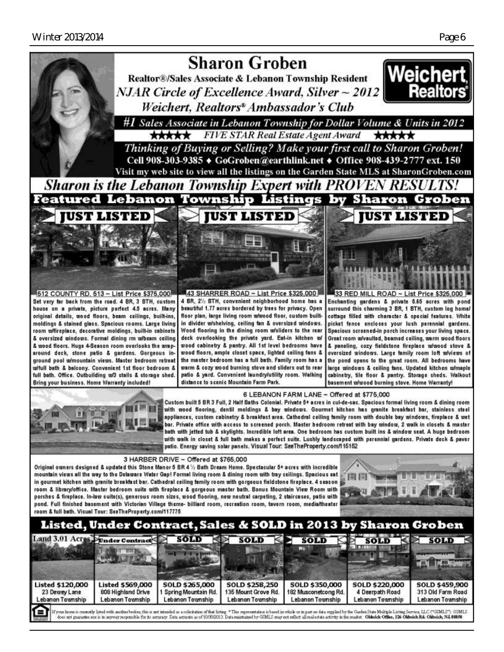

#### Listed, Under Contract, Sales & SOLD in 2013 by Sh **Groben**

|                                                                   | Land 5.01 ACPES Under Contract                                    | SOLD                                                      | SOLD                                                      | SOLD                                                       | SOLD                                                  | SOLD                                                    |
|-------------------------------------------------------------------|-------------------------------------------------------------------|-----------------------------------------------------------|-----------------------------------------------------------|------------------------------------------------------------|-------------------------------------------------------|---------------------------------------------------------|
| <b>Listed \$120,000</b><br>23 Dewey Lane<br>Lebanon Township<br>a | <b>Listed \$569,000</b><br>808 Highland Drive<br>Lebanon Township | SOLD \$265,000<br>Spring Mountain Rd.<br>Lebanon Township | SOLD \$258,250<br>135 Mount Grove Rd.<br>Lebanon Township | SOLD \$350,000<br>182 Musconetcong Rd.<br>Lebanon Township | SOLD \$220,000<br>4 Deerpath Road<br>Lebanon Township | SOLD \$459,900<br>313 Old Farm Road<br>Lebanon Township |

does not guarantee son is in anyway responsible for its accuracy. Data accurate as of 10/00/2013. Data manitained by GMLS may not reflect all real entate activity in the market. Oldwick Office, 126 Okhaick RA. Okhaick, NJ,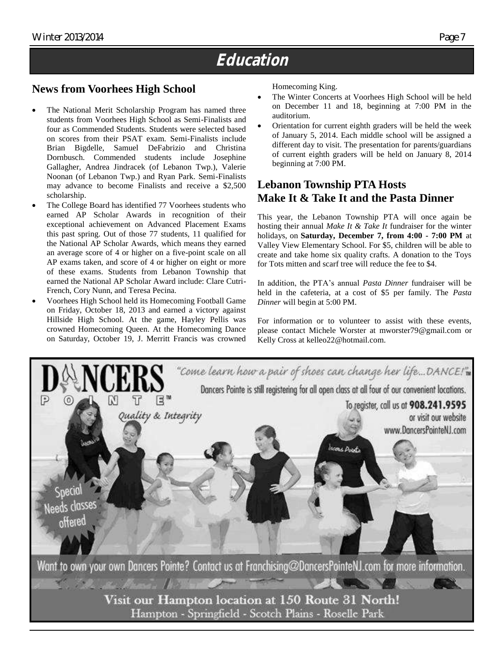### **Education**

#### **News from Voorhees High School**

- The National Merit Scholarship Program has named three students from Voorhees High School as Semi-Finalists and four as Commended Students. Students were selected based on scores from their PSAT exam. Semi-Finalists include Brian Bigdelle, Samuel DeFabrizio and Christina Dornbusch. Commended students include Josephine Gallagher, Andrea Jindracek (of Lebanon Twp.), Valerie Noonan (of Lebanon Twp.) and Ryan Park. Semi-Finalists may advance to become Finalists and receive a \$2,500 scholarship.
- The College Board has identified 77 Voorhees students who earned AP Scholar Awards in recognition of their exceptional achievement on Advanced Placement Exams this past spring. Out of those 77 students, 11 qualified for the National AP Scholar Awards, which means they earned an average score of 4 or higher on a five-point scale on all AP exams taken, and score of 4 or higher on eight or more of these exams. Students from Lebanon Township that earned the National AP Scholar Award include: Clare Cutri-French, Cory Nunn, and Teresa Pecina.
- Voorhees High School held its Homecoming Football Game on Friday, October 18, 2013 and earned a victory against Hillside High School. At the game, Hayley Pellis was crowned Homecoming Queen. At the Homecoming Dance on Saturday, October 19, J. Merritt Francis was crowned

Homecoming King.

- The Winter Concerts at Voorhees High School will be held on December 11 and 18, beginning at 7:00 PM in the auditorium.
- Orientation for current eighth graders will be held the week of January 5, 2014. Each middle school will be assigned a different day to visit. The presentation for parents/guardians of current eighth graders will be held on January 8, 2014 beginning at 7:00 PM.

### **Lebanon Township PTA Hosts Make It & Take It and the Pasta Dinner**

This year, the Lebanon Township PTA will once again be hosting their annual *Make It & Take It* fundraiser for the winter holidays, on **Saturday, December 7, from 4:00 - 7:00 PM** at Valley View Elementary School. For \$5, children will be able to create and take home six quality crafts. A donation to the Toys for Tots mitten and scarf tree will reduce the fee to \$4.

In addition, the PTA's annual *Pasta Dinner* fundraiser will be held in the cafeteria, at a cost of \$5 per family. The *Pasta Dinner* will begin at 5:00 PM.

For information or to volunteer to assist with these events, please contact Michele Worster at mworster79@gmail.com or Kelly Cross at kelleo22@hotmail.com.



Hampton - Springfield - Scotch Plains - Roselle Park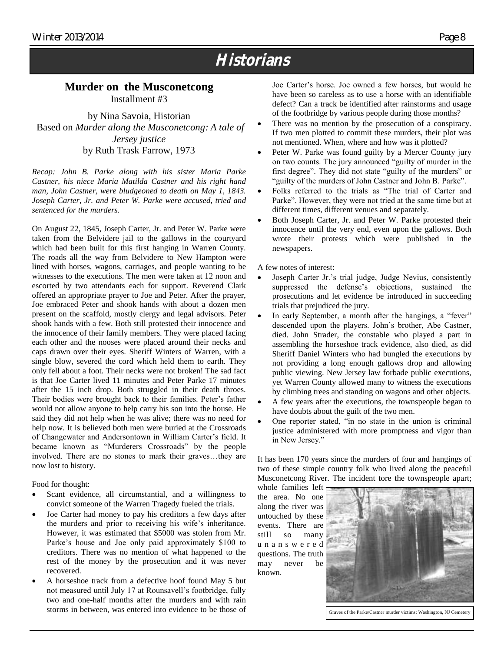### **Historians**

#### **Murder on the Musconetcong** Installment #3

by Nina Savoia, Historian Based on *Murder along the Musconetcong: A tale of Jersey justice* by Ruth Trask Farrow, 1973

*Recap: John B. Parke along with his sister Maria Parke Castner, his niece Maria Matilda Castner and his right hand*  man, John Castner, were bludgeoned to death on May 1, 1843. *Joseph Carter, Jr. and Peter W. Parke were accused, tried and sentenced for the murders.*

On August 22, 1845, Joseph Carter, Jr. and Peter W. Parke were taken from the Belvidere jail to the gallows in the courtyard which had been built for this first hanging in Warren County. The roads all the way from Belvidere to New Hampton were lined with horses, wagons, carriages, and people wanting to be witnesses to the executions. The men were taken at 12 noon and escorted by two attendants each for support. Reverend Clark offered an appropriate prayer to Joe and Peter. After the prayer, Joe embraced Peter and shook hands with about a dozen men present on the scaffold, mostly clergy and legal advisors. Peter shook hands with a few. Both still protested their innocence and the innocence of their family members. They were placed facing each other and the nooses were placed around their necks and caps drawn over their eyes. Sheriff Winters of Warren, with a single blow, severed the cord which held them to earth. They only fell about a foot. Their necks were not broken! The sad fact is that Joe Carter lived 11 minutes and Peter Parke 17 minutes after the 15 inch drop. Both struggled in their death throes. Their bodies were brought back to their families. Peter's father would not allow anyone to help carry his son into the house. He said they did not help when he was alive; there was no need for help now. It is believed both men were buried at the Crossroads of Changewater and Andersontown in William Carter's field. It became known as "Murderers Crossroads" by the people involved. There are no stones to mark their graves…they are now lost to history.

Food for thought:

- Scant evidence, all circumstantial, and a willingness to convict someone of the Warren Tragedy fueled the trials.
- Joe Carter had money to pay his creditors a few days after the murders and prior to receiving his wife's inheritance. However, it was estimated that \$5000 was stolen from Mr. Parke's house and Joe only paid approximately \$100 to creditors. There was no mention of what happened to the rest of the money by the prosecution and it was never recovered.
- A horseshoe track from a defective hoof found May 5 but not measured until July 17 at Rounsavell's footbridge, fully two and one-half months after the murders and with rain storms in between, was entered into evidence to be those of

Joe Carter's horse. Joe owned a few horses, but would he have been so careless as to use a horse with an identifiable defect? Can a track be identified after rainstorms and usage of the footbridge by various people during those months?

- There was no mention by the prosecution of a conspiracy. If two men plotted to commit these murders, their plot was not mentioned. When, where and how was it plotted?
- Peter W. Parke was found guilty by a Mercer County jury on two counts. The jury announced "guilty of murder in the first degree". They did not state "guilty of the murders" or "guilty of the murders of John Castner and John B. Parke".
- Folks referred to the trials as "The trial of Carter and Parke". However, they were not tried at the same time but at different times, different venues and separately.
- Both Joseph Carter, Jr. and Peter W. Parke protested their innocence until the very end, even upon the gallows. Both wrote their protests which were published in the newspapers.

A few notes of interest:

- Joseph Carter Jr.'s trial judge, Judge Nevius, consistently suppressed the defense's objections, sustained the prosecutions and let evidence be introduced in succeeding trials that prejudiced the jury.
- In early September, a month after the hangings, a "fever" descended upon the players. John's brother, Abe Castner, died. John Strader, the constable who played a part in assembling the horseshoe track evidence, also died, as did Sheriff Daniel Winters who had bungled the executions by not providing a long enough gallows drop and allowing public viewing. New Jersey law forbade public executions, yet Warren County allowed many to witness the executions by climbing trees and standing on wagons and other objects.
- A few years after the executions, the townspeople began to have doubts about the guilt of the two men.
- One reporter stated, "in no state in the union is criminal justice administered with more promptness and vigor than in New Jersey."

It has been 170 years since the murders of four and hangings of two of these simple country folk who lived along the peaceful Musconetcong River. The incident tore the townspeople apart;

whole families left the area. No one along the river was untouched by these events. There are still so many u n a n s w e r e d questions. The truth may never be known.



Graves of the Parke/Castner murder victims; Washington, NJ Cemetery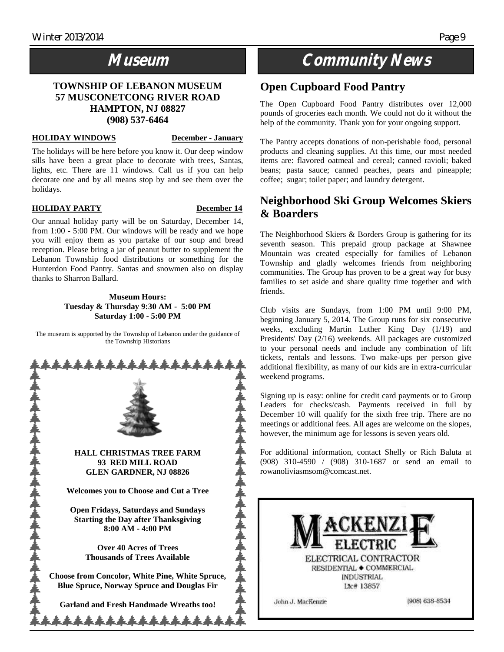### **Museum**

#### **TOWNSHIP OF LEBANON MUSEUM 57 MUSCONETCONG RIVER ROAD HAMPTON, NJ 08827 (908) 537-6464**

#### **HOLIDAY WINDOWS December - January**

The holidays will be here before you know it. Our deep window sills have been a great place to decorate with trees, Santas, lights, etc. There are 11 windows. Call us if you can help decorate one and by all means stop by and see them over the holidays.

#### **HOLIDAY PARTY** December 14

Our annual holiday party will be on Saturday, December 14, from 1:00 - 5:00 PM. Our windows will be ready and we hope you will enjoy them as you partake of our soup and bread reception. Please bring a jar of peanut butter to supplement the Lebanon Township food distributions or something for the Hunterdon Food Pantry. Santas and snowmen also on display thanks to Sharron Ballard.

#### **Museum Hours: Tuesday & Thursday 9:30 AM - 5:00 PM Saturday 1:00 - 5:00 PM**

The museum is supported by the Township of Lebanon under the guidance of the Township Historians



### **Community News**

#### **Open Cupboard Food Pantry**

The Open Cupboard Food Pantry distributes over 12,000 pounds of groceries each month. We could not do it without the help of the community. Thank you for your ongoing support.

The Pantry accepts donations of non-perishable food, personal products and cleaning supplies. At this time, our most needed items are: flavored oatmeal and cereal; canned ravioli; baked beans; pasta sauce; canned peaches, pears and pineapple; coffee; sugar; toilet paper; and laundry detergent.

#### **Neighborhood Ski Group Welcomes Skiers & Boarders**

The Neighborhood Skiers & Borders Group is gathering for its seventh season. This prepaid group package at Shawnee Mountain was created especially for families of Lebanon Township and gladly welcomes friends from neighboring communities. The Group has proven to be a great way for busy families to set aside and share quality time together and with friends.

Club visits are Sundays, from 1:00 PM until 9:00 PM, beginning January 5, 2014. The Group runs for six consecutive weeks, excluding Martin Luther King Day (1/19) and Presidents' Day (2/16) weekends. All packages are customized to your personal needs and include any combination of lift tickets, rentals and lessons. Two make-ups per person give additional flexibility, as many of our kids are in extra-curricular weekend programs.

Signing up is easy: online for credit card payments or to Group Leaders for checks/cash. Payments received in full by December 10 will qualify for the sixth free trip. There are no meetings or additional fees. All ages are welcome on the slopes, however, the minimum age for lessons is seven years old.

For additional information, contact Shelly or Rich Baluta at (908) 310-4590 / (908) 310-1687 or send an email to rowanoliviasmsom@comcast.net.

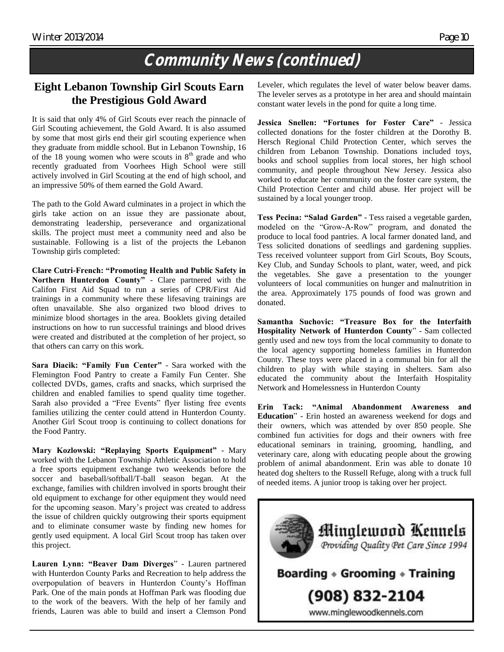### **Community News (continued)**

#### **Eight Lebanon Township Girl Scouts Earn the Prestigious Gold Award**

It is said that only 4% of Girl Scouts ever reach the pinnacle of Girl Scouting achievement, the Gold Award. It is also assumed by some that most girls end their girl scouting experience when they graduate from middle school. But in Lebanon Township, 16 of the 18 young women who were scouts in  $8<sup>th</sup>$  grade and who recently graduated from Voorhees High School were still actively involved in Girl Scouting at the end of high school, and an impressive 50% of them earned the Gold Award.

The path to the Gold Award culminates in a project in which the girls take action on an issue they are passionate about, demonstrating leadership, perseverance and organizational skills. The project must meet a community need and also be sustainable. Following is a list of the projects the Lebanon Township girls completed:

**Clare Cutri-French: "Promoting Health and Public Safety in Northern Hunterdon County"** - Clare partnered with the Califon First Aid Squad to run a series of CPR/First Aid trainings in a community where these lifesaving trainings are often unavailable. She also organized two blood drives to minimize blood shortages in the area. Booklets giving detailed instructions on how to run successful trainings and blood drives were created and distributed at the completion of her project, so that others can carry on this work.

**Sara Diacik: "Family Fun Center"** - Sara worked with the Flemington Food Pantry to create a Family Fun Center. She collected DVDs, games, crafts and snacks, which surprised the children and enabled families to spend quality time together. Sarah also provided a "Free Events" flyer listing free events families utilizing the center could attend in Hunterdon County. Another Girl Scout troop is continuing to collect donations for the Food Pantry.

**Mary Kozlowski: "Replaying Sports Equipment"** - Mary worked with the Lebanon Township Athletic Association to hold a free sports equipment exchange two weekends before the soccer and baseball/softball/T-ball season began. At the exchange, families with children involved in sports brought their old equipment to exchange for other equipment they would need for the upcoming season. Mary's project was created to address the issue of children quickly outgrowing their sports equipment and to eliminate consumer waste by finding new homes for gently used equipment. A local Girl Scout troop has taken over this project.

**Lauren Lynn: "Beaver Dam Diverges**" - Lauren partnered with Hunterdon County Parks and Recreation to help address the overpopulation of beavers in Hunterdon County's Hoffman Park. One of the main ponds at Hoffman Park was flooding due to the work of the beavers. With the help of her family and friends, Lauren was able to build and insert a Clemson Pond

Leveler, which regulates the level of water below beaver dams. The leveler serves as a prototype in her area and should maintain constant water levels in the pond for quite a long time.

**Jessica Snellen: "Fortunes for Foster Care"** - Jessica collected donations for the foster children at the Dorothy B. Hersch Regional Child Protection Center, which serves the children from Lebanon Township. Donations included toys, books and school supplies from local stores, her high school community, and people throughout New Jersey. Jessica also worked to educate her community on the foster care system, the Child Protection Center and child abuse. Her project will be sustained by a local younger troop.

**Tess Pecina: "Salad Garden"** - Tess raised a vegetable garden, modeled on the "Grow-A-Row" program, and donated the produce to local food pantries. A local farmer donated land, and Tess solicited donations of seedlings and gardening supplies. Tess received volunteer support from Girl Scouts, Boy Scouts, Key Club, and Sunday Schools to plant, water, weed, and pick the vegetables. She gave a presentation to the younger volunteers of local communities on hunger and malnutrition in the area. Approximately 175 pounds of food was grown and donated.

**Samantha Suchovic: "Treasure Box for the Interfaith Hospitality Network of Hunterdon County**" - Sam collected gently used and new toys from the local community to donate to the local agency supporting homeless families in Hunterdon County. These toys were placed in a communal bin for all the children to play with while staying in shelters. Sam also educated the community about the Interfaith Hospitality Network and Homelessness in Hunterdon County

**Erin Tack: "Animal Abandonment Awareness and Education**" - Erin hosted an awareness weekend for dogs and their owners, which was attended by over 850 people. She combined fun activities for dogs and their owners with free educational seminars in training, grooming, handling, and veterinary care, along with educating people about the growing problem of animal abandonment. Erin was able to donate 10 heated dog shelters to the Russell Refuge, along with a truck full of needed items. A junior troop is taking over her project.

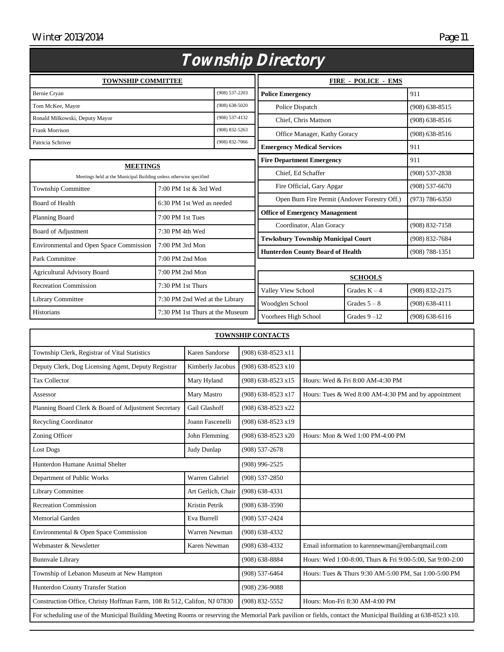#### Winter 2013/2014

|--|

| Township Directory                                                                    |                                       |                                                                                                                      |                                                               |                                                                                                                                                             |  |  |
|---------------------------------------------------------------------------------------|---------------------------------------|----------------------------------------------------------------------------------------------------------------------|---------------------------------------------------------------|-------------------------------------------------------------------------------------------------------------------------------------------------------------|--|--|
| <b>TOWNSHIP COMMITTEE</b>                                                             |                                       |                                                                                                                      |                                                               | <b>FIRE - POLICE - EMS</b>                                                                                                                                  |  |  |
| $(908) 537 - 2203$<br>Bernie Cryan                                                    |                                       |                                                                                                                      | <b>Police Emergency</b>                                       |                                                                                                                                                             |  |  |
| Tom McKee, Mayor                                                                      |                                       |                                                                                                                      | Police Dispatch                                               |                                                                                                                                                             |  |  |
| Ronald Milkowski, Deputy Mayor                                                        |                                       |                                                                                                                      | Chief, Chris Mattson                                          |                                                                                                                                                             |  |  |
| <b>Frank Morrison</b>                                                                 |                                       |                                                                                                                      | Office Manager, Kathy Goracy                                  |                                                                                                                                                             |  |  |
| Patricia Schriver                                                                     |                                       |                                                                                                                      | <b>Emergency Medical Services</b>                             |                                                                                                                                                             |  |  |
|                                                                                       |                                       |                                                                                                                      | <b>Fire Department Emergency</b>                              |                                                                                                                                                             |  |  |
| <b>MEETINGS</b><br>Meetings held at the Municipal Building unless otherwise specified |                                       |                                                                                                                      | Chief, Ed Schaffer                                            |                                                                                                                                                             |  |  |
| 7:00 PM 1st & 3rd Wed                                                                 |                                       | Fire Official, Gary Apgar                                                                                            |                                                               | $(908) 537 - 6670$                                                                                                                                          |  |  |
| 6:30 PM 1st Wed as needed                                                             |                                       | Open Burn Fire Permit (Andover Forestry Off.)                                                                        |                                                               | $(973) 786 - 6350$                                                                                                                                          |  |  |
|                                                                                       |                                       | <b>Office of Emergency Management</b>                                                                                |                                                               |                                                                                                                                                             |  |  |
|                                                                                       |                                       | Coordinator, Alan Goracy                                                                                             |                                                               | (908) 832-7158                                                                                                                                              |  |  |
|                                                                                       |                                       |                                                                                                                      |                                                               | (908) 832-7684                                                                                                                                              |  |  |
| 7:00 PM 3rd Mon                                                                       |                                       |                                                                                                                      |                                                               | $(908) 788 - 1351$                                                                                                                                          |  |  |
| $7:00$ PM $2nd$ Mon                                                                   |                                       |                                                                                                                      |                                                               |                                                                                                                                                             |  |  |
| 7:00 PM 2nd Mon                                                                       |                                       |                                                                                                                      |                                                               |                                                                                                                                                             |  |  |
| 7:30 PM 1st Thurs                                                                     |                                       |                                                                                                                      |                                                               | (908) 832-2175                                                                                                                                              |  |  |
|                                                                                       |                                       |                                                                                                                      |                                                               | $(908) 638 - 4111$                                                                                                                                          |  |  |
| 7:30 PM 1st Thurs at the Museum                                                       |                                       |                                                                                                                      |                                                               | $(908) 638 - 6116$                                                                                                                                          |  |  |
|                                                                                       | $7:00$ PM 1st Tues<br>7:30 PM 4th Wed | $(908)$ 638-5020<br>$(908) 537 - 4132$<br>$(908) 832 - 5263$<br>$(908) 832 - 7066$<br>7:30 PM 2nd Wed at the Library | Valley View School<br>Woodglen School<br>Voorhees High School | <b>Tewksbury Township Municipal Court</b><br><b>Hunterdon County Board of Health</b><br><b>SCHOOLS</b><br>Grades $K - 4$<br>Grades $5-8$<br>Grades $9 - 12$ |  |  |

| <b>TOWNSHIP CONTACTS</b>                                                                                                                                      |                |                    |                                                            |  |  |  |
|---------------------------------------------------------------------------------------------------------------------------------------------------------------|----------------|--------------------|------------------------------------------------------------|--|--|--|
| Township Clerk, Registrar of Vital Statistics                                                                                                                 | Karen Sandorse | (908) 638-8523 x11 |                                                            |  |  |  |
| Deputy Clerk, Dog Licensing Agent, Deputy Registrar<br>Kimberly Jacobus                                                                                       |                | (908) 638-8523 x10 |                                                            |  |  |  |
| <b>Tax Collector</b><br>Mary Hyland                                                                                                                           |                | (908) 638-8523 x15 | Hours: Wed & Fri 8:00 AM-4:30 PM                           |  |  |  |
| Mary Mastro<br>Assessor                                                                                                                                       |                | (908) 638-8523 x17 | Hours: Tues & Wed 8:00 AM-4:30 PM and by appointment       |  |  |  |
| Gail Glashoff<br>Planning Board Clerk & Board of Adjustment Secretary                                                                                         |                | (908) 638-8523 x22 |                                                            |  |  |  |
| <b>Recycling Coordinator</b><br>Joann Fascenelli                                                                                                              |                | (908) 638-8523 x19 |                                                            |  |  |  |
| Zoning Officer                                                                                                                                                | John Flemming  | (908) 638-8523 x20 | Hours: Mon & Wed 1:00 PM-4:00 PM                           |  |  |  |
| Lost Dogs<br>Judy Dunlap                                                                                                                                      |                | $(908) 537 - 2678$ |                                                            |  |  |  |
| Hunterdon Humane Animal Shelter                                                                                                                               |                | $(908)$ 996-2525   |                                                            |  |  |  |
| Warren Gabriel<br>Department of Public Works                                                                                                                  |                | $(908) 537 - 2850$ |                                                            |  |  |  |
| Library Committee<br>Art Gerlich, Chair                                                                                                                       |                | $(908) 638 - 4331$ |                                                            |  |  |  |
| <b>Recreation Commission</b><br>Kristin Petrik                                                                                                                |                | $(908) 638 - 3590$ |                                                            |  |  |  |
| <b>Memorial Garden</b>                                                                                                                                        | Eva Burrell    | $(908) 537 - 2424$ |                                                            |  |  |  |
| Environmental & Open Space Commission                                                                                                                         | Warren Newman  | $(908) 638 - 4332$ |                                                            |  |  |  |
| Webmaster & Newsletter                                                                                                                                        | Karen Newman   | $(908) 638 - 4332$ | Email information to karennewman@embarqmail.com            |  |  |  |
| <b>Bunnvale Library</b>                                                                                                                                       |                | $(908) 638 - 8884$ | Hours: Wed 1:00-8:00, Thurs & Fri 9:00-5:00, Sat 9:00-2:00 |  |  |  |
| Township of Lebanon Museum at New Hampton                                                                                                                     |                | $(908) 537 - 6464$ | Hours: Tues & Thurs 9:30 AM-5:00 PM, Sat 1:00-5:00 PM      |  |  |  |
| Hunterdon County Transfer Station                                                                                                                             |                | $(908)$ 236-9088   |                                                            |  |  |  |
| Construction Office, Christy Hoffman Farm, 108 Rt 512, Califon, NJ 07830                                                                                      |                | (908) 832-5552     | Hours: Mon-Fri 8:30 AM-4:00 PM                             |  |  |  |
| For scheduling use of the Municipal Building Meeting Rooms or reserving the Memorial Park pavilion or fields, contact the Municipal Building at 638-8523 x10. |                |                    |                                                            |  |  |  |